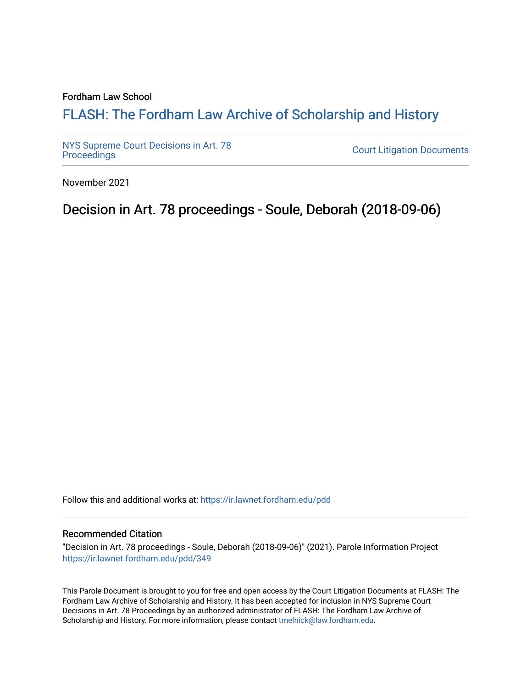#### Fordham Law School

# FLASH: The For[dham Law Archive of Scholarship and Hist](https://ir.lawnet.fordham.edu/)ory

[NYS Supreme Court Decisions in Art. 78](https://ir.lawnet.fordham.edu/pdd)

**Court Litigation Documents** 

November 2021

Decision in Art. 78 proceedings - Soule, Deborah (2018-09-06)

Follow this and additional works at: [https://ir.lawnet.fordham.edu/pdd](https://ir.lawnet.fordham.edu/pdd?utm_source=ir.lawnet.fordham.edu%2Fpdd%2F349&utm_medium=PDF&utm_campaign=PDFCoverPages)

#### Recommended Citation

"Decision in Art. 78 proceedings - Soule, Deborah (2018-09-06)" (2021). Parole Information Project [https://ir.lawnet.fordham.edu/pdd/349](https://ir.lawnet.fordham.edu/pdd/349?utm_source=ir.lawnet.fordham.edu%2Fpdd%2F349&utm_medium=PDF&utm_campaign=PDFCoverPages)

This Parole Document is brought to you for free and open access by the Court Litigation Documents at FLASH: The Fordham Law Archive of Scholarship and History. It has been accepted for inclusion in NYS Supreme Court Decisions in Art. 78 Proceedings by an authorized administrator of FLASH: The Fordham Law Archive of Scholarship and History. For more information, please contact [tmelnick@law.fordham.edu](mailto:tmelnick@law.fordham.edu).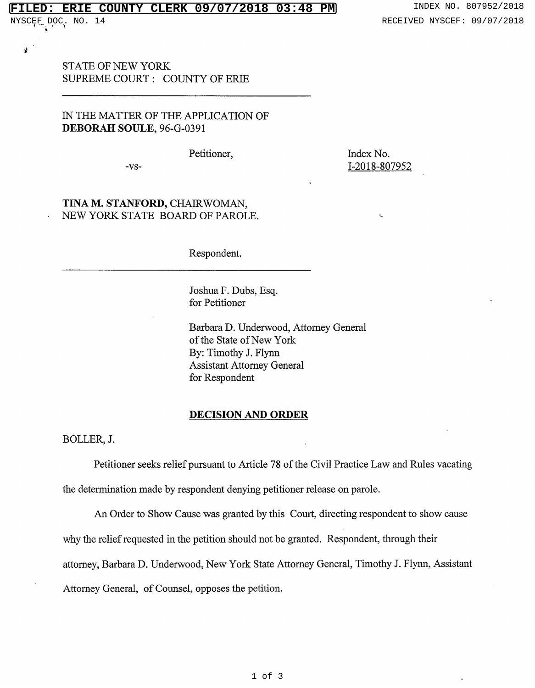## **FILED: ERIE COUNTY CLERK 09/07/2018 03:48 PM** INDEX NO. 807952/2018

¥

STATE OF NEW YORK SUPREME COURT : COUNTY OF ERIE

# IN THE MATTER OF THE APPLICATION OF **DEBORAH SOULE,** 96-G-0391

Petitioner,

-vs-

Index No. 1-2018-807952

'-

## **TINA M. STANFORD,** CHAIRWOMAN, NEW YORK STATE BOARD OF PAROLE.

Respondent.

Joshua F. Dubs, Esq. for Petitioner

Barbara D. Underwood, Attorney General of the State of New York By: Timothy J. Flynn Assistant Attorney General for Respondent

#### **DECISION AND ORDER**

BOLLER,J.

Petitioner seeks relief pursuant to Article 78 of the Civil Practice Law and Rules vacating the determination made by respondent denying petitioner release on parole.

An Order to Show Cause was granted by this Court, directing respondent to show cause why the relief requested in the petition should not be granted. Respondent, through their attorney, Barbara D. Underwood, New York State Attorney General, Timothy J. Flynn, Assistant Attorney General, of Counsel, opposes the petition.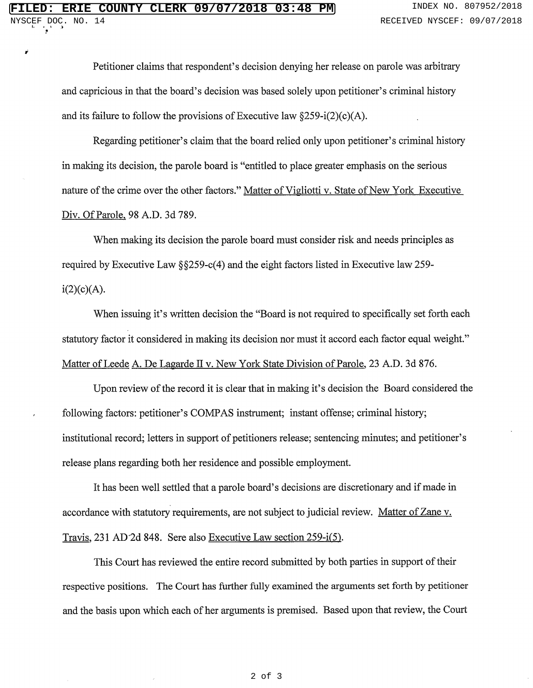*i* 

!

Petitioner claims that respondent's decision denying her release on parole was arbitrary and capricious in that the board's decision was based solely upon petitioner's criminal history and its failure to follow the provisions of Executive law  $\S 259 - i(2)(c)(A)$ .

Regarding petitioner's claim that the board relied only upon petitioner's criminal history in making its decision, the parole board is "entitled to place greater emphasis on the serious nature of the crime over the other factors." Matter of Vigliotti v. State of New York Executive Div. Of Parole, 98 A.D. 3d 789.

When making its decision the parole board must consider risk and needs principles as required by Executive Law §§259-c(4) and the eight factors listed in Executive law 259  $i(2)(c)(A).$ 

When issuing it's written decision the "Board is not required to specifically set forth each statutory factor it considered in making its decision nor must it accord each factor equal weight." Matter of Leede A. De Lagarde II v. New York State Division of Parole, 23 A.D. 3d 876.

Upon review of the record it is clear that in making it's decision the Board considered the following factors: petitioner's COMPAS instrument; instant offense; criminal history; institutional record; letters in support of petitioners release; sentencing minutes; and petitioner's release plans regarding both her residence and possible employment.

It has been well settled that a parole board's decisions are discretionary and if made in accordance with statutory requirements, are not subject to judicial review. Matter of Zane v. Travis, 231 AD·2d 848. Sere also Executive Law section 259-i(S).

This Court has reviewed the entire record submitted by both parties in support of their respective positions. The Court has further fully examined the arguments set forth by petitioner and the basis upon which each of her arguments is premised. Based upon that review, the Court